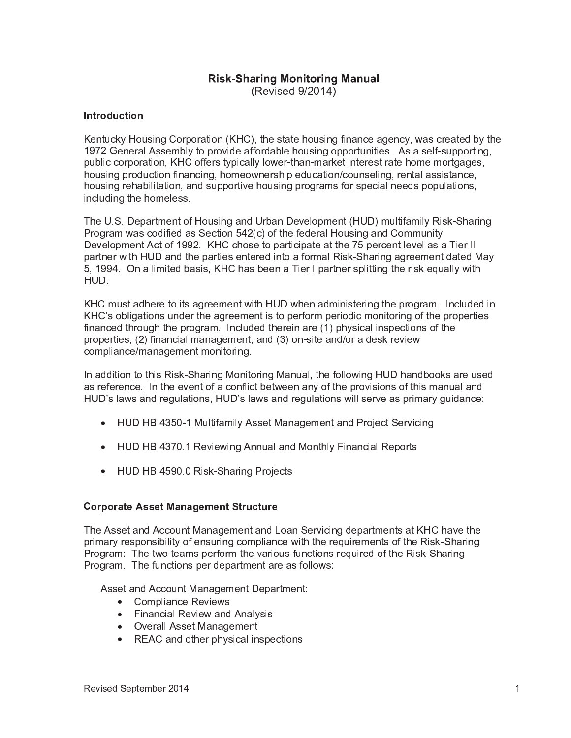# **Risk-Sharing Monitoring Manual**

(Revised 9/2014)

## **Introduction**

Kentucky Housing Corporation (KHC), the state housing finance agency, was created by the 1972 General Assembly to provide affordable housing opportunities. As a self-supporting, public corporation, KHC offers typically lower-than-market interest rate home mortgages, housing production financing, homeownership education/counseling, rental assistance, housing rehabilitation, and supportive housing programs for special needs populations, including the homeless.

The U.S. Department of Housing and Urban Development (HUD) multifamily Risk-Sharing Program was codified as Section 542(c) of the federal Housing and Community Development Act of 1992. KHC chose to participate at the 75 percent level as a Tier II partner with HUD and the parties entered into a formal Risk-Sharing agreement dated May 5, 1994. On a limited basis, KHC has been a Tier I partner splitting the risk equally with HUD.

KHC must adhere to its agreement with HUD when administering the program. Included in KHC's obligations under the agreement is to perform periodic monitoring of the properties financed through the program. Included therein are (1) physical inspections of the properties, (2) financial management, and (3) on-site and/or a desk review compliance/management monitoring.

In addition to this Risk-Sharing Monitoring Manual, the following HUD handbooks are used as reference. In the event of a conflict between any of the provisions of this manual and HUD's laws and regulations, HUD's laws and regulations will serve as primary guidance:

- HUD HB 4350-1 Multifamily Asset Management and Project Servicing
- HUD HB 4370.1 Reviewing Annual and Monthly Financial Reports
- HUD HB 4590.0 Risk-Sharing Projects

#### **Corporate Asset Management Structure**

The Asset and Account Management and Loan Servicing departments at KHC have the primary responsibility of ensuring compliance with the requirements of the Risk-Sharing Program: The two teams perform the various functions required of the Risk-Sharing Program. The functions per department are as follows:

Asset and Account Management Department:

- Compliance Reviews
- Financial Review and Analysis
- Overall Asset Management
- REAC and other physical inspections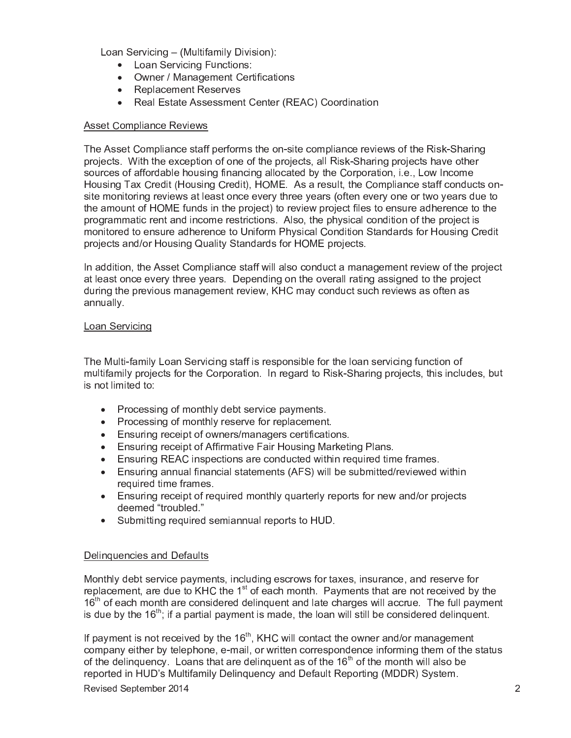Loan Servicing - (Multifamily Division):

- Loan Servicing Functions:
- Owner / Management Certifications
- Replacement Reserves
- Real Estate Assessment Center (REAC) Coordination

## **Asset Compliance Reviews**

The Asset Compliance staff performs the on-site compliance reviews of the Risk-Sharing projects. With the exception of one of the projects, all Risk-Sharing projects have other sources of affordable housing financing allocated by the Corporation, i.e., Low Income Housing Tax Credit (Housing Credit), HOME. As a result, the Compliance staff conducts onsite monitoring reviews at least once every three years (often every one or two years due to the amount of HOME funds in the project) to review project files to ensure adherence to the programmatic rent and income restrictions. Also, the physical condition of the project is monitored to ensure adherence to Uniform Physical Condition Standards for Housing Credit projects and/or Housing Quality Standards for HOME projects.

In addition, the Asset Compliance staff will also conduct a management review of the project at least once every three years. Depending on the overall rating assigned to the project during the previous management review, KHC may conduct such reviews as often as annually.

# Loan Servicing

The Multi-family Loan Servicing staff is responsible for the loan servicing function of multifamily projects for the Corporation. In regard to Risk-Sharing projects, this includes, but is not limited to:

- Processing of monthly debt service payments.
- Processing of monthly reserve for replacement.
- Ensuring receipt of owners/managers certifications.
- Ensuring receipt of Affirmative Fair Housing Marketing Plans.
- Ensuring REAC inspections are conducted within required time frames.
- Ensuring annual financial statements (AFS) will be submitted/reviewed within required time frames.
- Ensuring receipt of required monthly quarterly reports for new and/or projects deemed "troubled."
- Submitting required semiannual reports to HUD.

#### Delinguencies and Defaults

Monthly debt service payments, including escrows for taxes, insurance, and reserve for replacement, are due to KHC the 1<sup>st</sup> of each month. Payments that are not received by the 16<sup>th</sup> of each month are considered delinguent and late charges will accrue. The full payment is due by the  $16<sup>th</sup>$ ; if a partial payment is made, the loan will still be considered delinquent.

If payment is not received by the 16<sup>th</sup>, KHC will contact the owner and/or management company either by telephone, e-mail, or written correspondence informing them of the status of the delinguency. Loans that are delinguent as of the 16<sup>th</sup> of the month will also be reported in HUD's Multifamily Delinguency and Default Reporting (MDDR) System.

Revised September 2014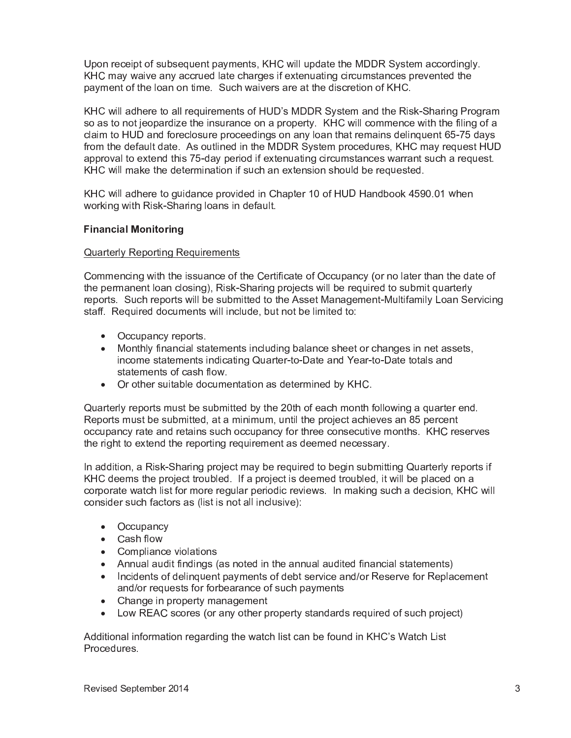Upon receipt of subsequent payments, KHC will update the MDDR System accordingly. KHC may waive any accrued late charges if extenuating circumstances prevented the payment of the loan on time. Such waivers are at the discretion of KHC.

KHC will adhere to all requirements of HUD's MDDR System and the Risk-Sharing Program so as to not jeopardize the insurance on a property. KHC will commence with the filing of a claim to HUD and foreclosure proceedings on any loan that remains delinguent 65-75 days from the default date. As outlined in the MDDR System procedures, KHC may request HUD approval to extend this 75-day period if extenuating circumstances warrant such a request. KHC will make the determination if such an extension should be requested.

KHC will adhere to quidance provided in Chapter 10 of HUD Handbook 4590.01 when working with Risk-Sharing loans in default.

# **Financial Monitoring**

## **Quarterly Reporting Requirements**

Commencing with the issuance of the Certificate of Occupancy (or no later than the date of the permanent loan closing), Risk-Sharing projects will be required to submit quarterly reports. Such reports will be submitted to the Asset Management-Multifamily Loan Servicing staff. Required documents will include, but not be limited to:

- Occupancy reports.
- Monthly financial statements including balance sheet or changes in net assets, income statements indicating Quarter-to-Date and Year-to-Date totals and statements of cash flow.
- Or other suitable documentation as determined by KHC.

Quarterly reports must be submitted by the 20th of each month following a quarter end. Reports must be submitted, at a minimum, until the project achieves an 85 percent occupancy rate and retains such occupancy for three consecutive months. KHC reserves the right to extend the reporting reguirement as deemed necessary.

In addition, a Risk-Sharing project may be required to begin submitting Quarterly reports if KHC deems the project troubled. If a project is deemed troubled, it will be placed on a corporate watch list for more regular periodic reviews. In making such a decision, KHC will consider such factors as (list is not all inclusive):

- Occupancy
- Cash flow
- Compliance violations
- Annual audit findings (as noted in the annual audited financial statements)
- Incidents of delinguent payments of debt service and/or Reserve for Replacement and/or requests for forbearance of such payments
- Change in property management
- Low REAC scores (or any other property standards required of such project)

Additional information regarding the watch list can be found in KHC's Watch List Procedures.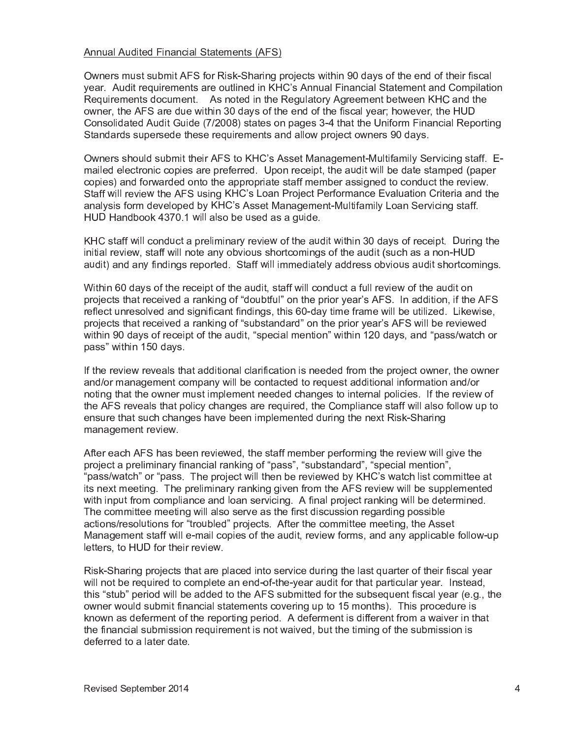#### Annual Audited Financial Statements (AFS

Owners must submit AFS for Risk-Sharing projects within 90 days of the end of their fiscal year. Audit requirements are outlined in KHC's Annual Financial Statement and Compilation Requirements document. As noted in the Regulatory Agreement between KHC and th owner, the AFS are due within 30 days of the end of the fiscal year; however, the HUI Consolidated Audit Guide (7/2008) states on pages 3-4 that l Reportin Standards supersede these requirements and allow project owners 90 days

Owners should submit their AFS to KHC's Asset Management-Multifamily Servicing staff. E mailed electronic copies are preferred. Upon receipt, the audit will be date stamped (pape copies) and forwarded onto the appropriate staff member assigned to conduct the review. Staff will review the AFS using KHC's Loan Project Performance Evaluation Criteria and th analysis form developed by KHC's Asset Management-Multifamily Loan Servicing staff HUD Handbook 4370.1 will also be used as a guide

KHC staff will conduct a preliminary review of the audit within 30 days of receipt. During the initial review, staff will note any obvious shortcomings of the audit (such as a non-HUI audit) and any findings reported. Staff will immediately address obvious audit shortcomings

Within 60 days of the receipt of the audit, staff will conduct a full review of the audit o projects that received a ranking of "doubtful" on the prior year's AFS. In addition, if the AF reflect unresol <sup>|</sup> } } <sup>|</sup> } t findings, this 60-day time frame will be util ³ <sup>z</sup> wise projects tha received a ranking of "substandard" on the prior year's AFS will be reviewe within 90 days of receipt of the audit, "special mention" within 120 days, and "pass/watch o pass" within 150 days

If the review reveals that additional cl tion is needed from the project owner, the owne and/or management company will be contacted to reguest additional information and/o noting that the owner must implement needed changes to internal policies. If the review o the AFS reveals that policy changes are required, the Compliance staff will also follow up to ensure that such changes have been implemented during the next Risk-Sharin management review.

After each AFS has been reviewed, the staff member performing the review wil th project a preliminary financial ranking of "pass", "substandard", "special mention", "pass/watch" or "pass. The project will then be reviewed by KHC's watch list committee a its next meeting. The preliminar the AFS review will be supplemente with input from compliance and loan servicing. A final project ranking will be determined The committee meeting will also serve as the first discussion regarding possible actions/resolutions for "troubled" projects. After the committee meeting, the Asse Management staff will e-mail copies of the audit, review forms, and any applicable follow-u letters, to HUD for their review.

Risk-Sharing projects that are placed into service during the last quarter of their fiscal yea will not be required to complete an end-of-the-year audit for that particular year. Instead this "stub" period will be added to the AFS submitted for the subsequent fiscal year (e.g., th owner would submit financial statements covering up to 15 months). This procedure i known as deferment of the reporting period. A defermen t from a i tha the financial submission requirement is not ut the timing of the submission i deferred to a later date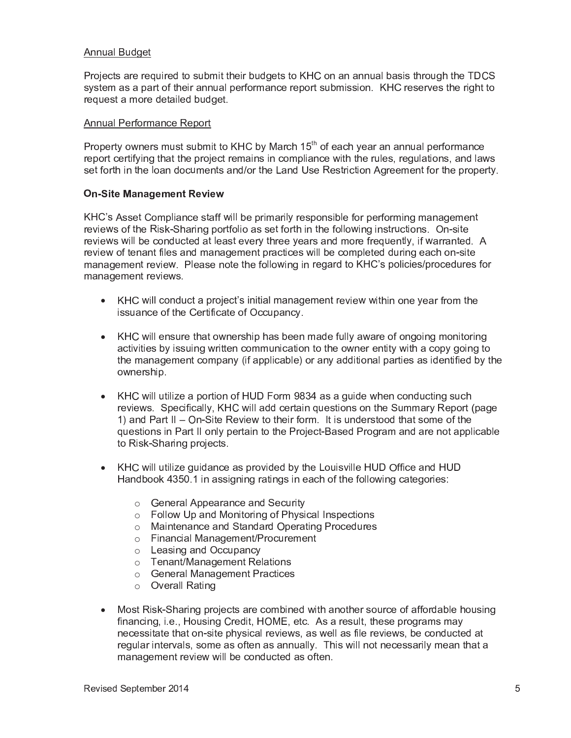#### **Annual Budget**

Projects are required to submit their budgets to KHC on an annual basis through the TDCS system as a part of their annual performance report submission. KHC reserves the right to request a more detailed budget.

#### **Annual Performance Report**

Property owners must submit to KHC by March 15<sup>th</sup> of each year an annual performance report certifying that the project remains in compliance with the rules, regulations, and laws set forth in the loan documents and/or the Land Use Restriction Agreement for the property.

#### **On-Site Management Review**

KHC's Asset Compliance staff will be primarily responsible for performing management reviews of the Risk-Sharing portfolio as set forth in the following instructions. On-site reviews will be conducted at least every three years and more frequently, if warranted. A review of tenant files and management practices will be completed during each on-site management review. Please note the following in regard to KHC's policies/procedures for management reviews.

- KHC will conduct a project's initial management review within one year from the issuance of the Certificate of Occupancy.
- KHC will ensure that ownership has been made fully aware of ongoing monitoring activities by issuing written communication to the owner entity with a copy going to the management company (if applicable) or any additional parties as identified by the ownership.
- KHC will utilize a portion of HUD Form 9834 as a guide when conducting such reviews. Specifically, KHC will add certain questions on the Summary Report (page 1) and Part II – On-Site Review to their form. It is understood that some of the questions in Part II only pertain to the Project-Based Program and are not applicable to Risk-Sharing projects.
- KHC will utilize quidance as provided by the Louisville HUD Office and HUD Handbook 4350.1 in assigning ratings in each of the following categories:
	- General Appearance and Security
	- o Follow Up and Monitoring of Physical Inspections
	- o Maintenance and Standard Operating Procedures
	- o Financial Management/Procurement
	- o Leasing and Occupancy
	- o Tenant/Management Relations
	- o General Management Practices
	- $\circ$  Overall Rating
- Most Risk-Sharing projects are combined with another source of affordable housing financing, i.e., Housing Credit, HOME, etc. As a result, these programs may necessitate that on-site physical reviews, as well as file reviews, be conducted at regular intervals, some as often as annually. This will not necessarily mean that a management review will be conducted as often.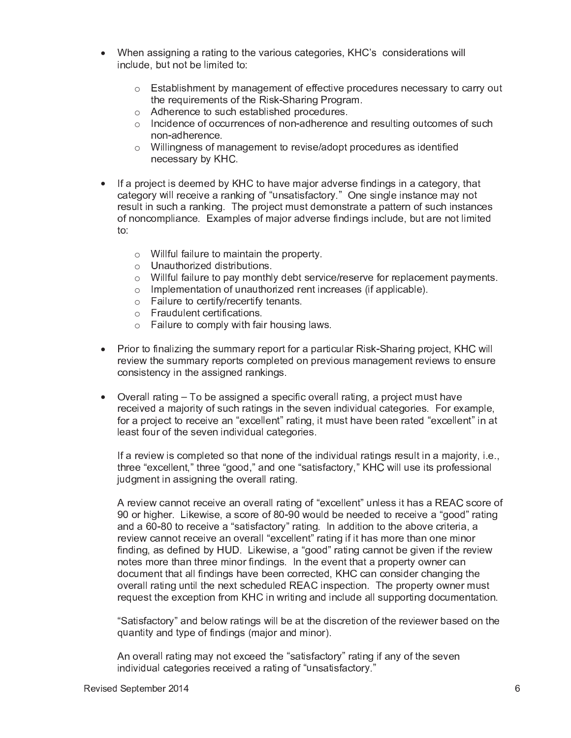- When assigning a rating to the various categories, KHC's considerations will include, but not be limited to:
	- $\circ$  Establishment by management of effective procedures necessary to carry out the requirements of the Risk-Sharing Program.
	- o Adherence to such established procedures.
	- o Incidence of occurrences of non-adherence and resulting outcomes of such non-adherence.
	- $\circ$  Willingness of management to revise/adopt procedures as identified necessary by KHC.
- If a project is deemed by KHC to have major adverse findings in a category, that category will receive a ranking of "unsatisfactory." One single instance may not result in such a ranking. The project must demonstrate a pattern of such instances of noncompliance. Examples of major adverse findings include, but are not limited  $\mathsf{to}$ :
	- $\circ$  Willful failure to maintain the property.
	- $\circ$  Unauthorized distributions.
	- $\circ$  Willful failure to pay monthly debt service/reserve for replacement payments.
	- o Implementation of unauthorized rent increases (if applicable).
	- $\circ$  Failure to certify/recertify tenants.
	- o Fraudulent certifications.
	- o Failure to comply with fair housing laws.
- Prior to finalizing the summary report for a particular Risk-Sharing project, KHC will review the summary reports completed on previous management reviews to ensure consistency in the assigned rankings.
- Overall rating To be assigned a specific overall rating, a project must have received a majority of such ratings in the seven individual categories. For example, for a project to receive an "excellent" rating, it must have been rated "excellent" in at least four of the seven individual categories.

If a review is completed so that none of the individual ratings result in a majority, i.e., three "excellent," three "good," and one "satisfactory," KHC will use its professional judgment in assigning the overall rating.

A review cannot receive an overall rating of "excellent" unless it has a REAC score of 90 or higher. Likewise, a score of 80-90 would be needed to receive a "good" rating and a 60-80 to receive a "satisfactory" rating. In addition to the above criteria, a review cannot receive an overall "excellent" rating if it has more than one minor finding, as defined by HUD. Likewise, a "good" rating cannot be given if the review notes more than three minor findings. In the event that a property owner can document that all findings have been corrected, KHC can consider changing the overall rating until the next scheduled REAC inspection. The property owner must request the exception from KHC in writing and include all supporting documentation.

"Satisfactory" and below ratings will be at the discretion of the reviewer based on the quantity and type of findings (major and minor).

An overall rating may not exceed the "satisfactory" rating if any of the seven individual categories received a rating of "unsatisfactory."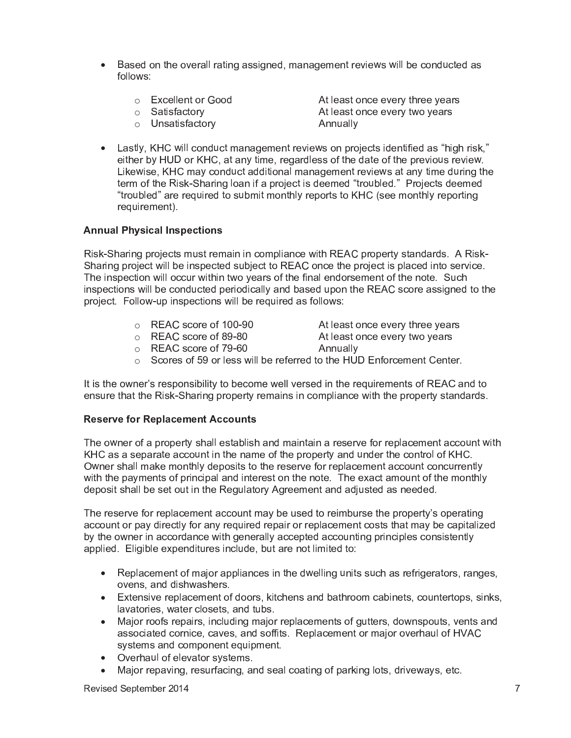- Based on the overall rating assigned, management reviews will be conducted as follows:
	- o Excellent or Good

o Satisfactory

○ Unsatisfactory

At least once every three years At least once every two years Annually

• Lastly, KHC will conduct management reviews on projects identified as "high risk," either by HUD or KHC, at any time, regardless of the date of the previous review. Likewise, KHC may conduct additional management reviews at any time during the term of the Risk-Sharing loan if a project is deemed "troubled." Projects deemed "troubled" are required to submit monthly reports to KHC (see monthly reporting requirement).

# **Annual Physical Inspections**

Risk-Sharing projects must remain in compliance with REAC property standards. A Risk-Sharing project will be inspected subject to REAC once the project is placed into service. The inspection will occur within two years of the final endorsement of the note. Such inspections will be conducted periodically and based upon the REAC score assigned to the project. Follow-up inspections will be required as follows:

- o REAC score of 100-90
- At least once every three years
- $\frac{6}{2}$  REAC score of 89-80
- At least once every two years Annually
- REAC score of 79-60
- Scores of 59 or less will be referred to the HUD Enforcement Center.

It is the owner's responsibility to become well versed in the requirements of REAC and to ensure that the Risk-Sharing property remains in compliance with the property standards.

# **Reserve for Replacement Accounts**

The owner of a property shall establish and maintain a reserve for replacement account with KHC as a separate account in the name of the property and under the control of KHC. Owner shall make monthly deposits to the reserve for replacement account concurrently with the payments of principal and interest on the note. The exact amount of the monthly deposit shall be set out in the Regulatory Agreement and adjusted as needed.

The reserve for replacement account may be used to reimburse the property's operating account or pay directly for any required repair or replacement costs that may be capitalized by the owner in accordance with generally accepted accounting principles consistently applied. Eligible expenditures include, but are not limited to:

- Replacement of major appliances in the dwelling units such as refrigerators, ranges, ovens, and dishwashers.
- Extensive replacement of doors, kitchens and bathroom cabinets, countertops, sinks, lavatories, water closets, and tubs.
- Major roofs repairs, including major replacements of gutters, downspouts, vents and associated cornice, caves, and soffits. Replacement or major overhaul of HVAC systems and component equipment.
- Overhaul of elevator systems.
- Major repaving, resurfacing, and seal coating of parking lots, driveways, etc.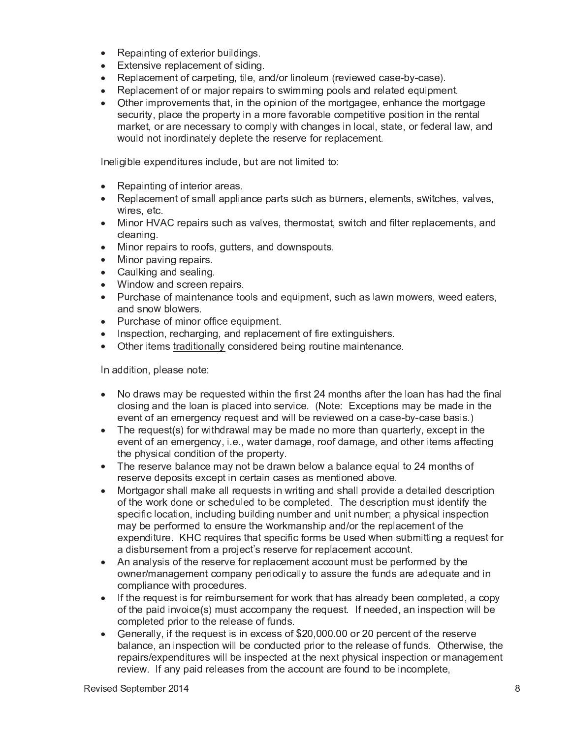- Repainting of exterior buildings.
- Extensive replacement of siding.
- Replacement of carpeting, tile, and/or linoleum (reviewed case-by-case).
- Replacement of or major repairs to swimming pools and related equipment.
- Other improvements that, in the opinion of the mortgagee, enhance the mortgage security, place the property in a more favorable competitive position in the rental market, or are necessary to comply with changes in local, state, or federal law, and would not inordinately deplete the reserve for replacement.

Ineligible expenditures include, but are not limited to:

- Repainting of interior areas.
- Replacement of small appliance parts such as burners, elements, switches, valves, wires, etc.
- Minor HVAC repairs such as valves, thermostat, switch and filter replacements, and cleaning.
- Minor repairs to roofs, gutters, and downspouts.
- Minor paving repairs.
- Caulking and sealing.
- Window and screen repairs.
- Purchase of maintenance tools and equipment, such as lawn mowers, weed eaters, and snow blowers.
- Purchase of minor office equipment.
- Inspection, recharging, and replacement of fire extinguishers.
- Other items traditionally considered being routine maintenance.

In addition, please note:

- No draws may be requested within the first 24 months after the loan has had the final closing and the loan is placed into service. (Note: Exceptions may be made in the event of an emergency request and will be reviewed on a case-by-case basis.)
- The request(s) for withdrawal may be made no more than quarterly, except in the event of an emergency, i.e., water damage, roof damage, and other items affecting the physical condition of the property.
- The reserve balance may not be drawn below a balance equal to 24 months of reserve deposits except in certain cases as mentioned above.
- Mortgagor shall make all requests in writing and shall provide a detailed description  $\bullet$ of the work done or scheduled to be completed. The description must identify the specific location, including building number and unit number; a physical inspection may be performed to ensure the workmanship and/or the replacement of the expenditure. KHC requires that specific forms be used when submitting a request for a disbursement from a project's reserve for replacement account.
- An analysis of the reserve for replacement account must be performed by the owner/management company periodically to assure the funds are adequate and in compliance with procedures.
- If the request is for reimbursement for work that has already been completed, a copy of the paid invoice(s) must accompany the request. If needed, an inspection will be completed prior to the release of funds.
- Generally, if the request is in excess of \$20,000,00 or 20 percent of the reserve balance, an inspection will be conducted prior to the release of funds. Otherwise, the repairs/expenditures will be inspected at the next physical inspection or management review. If any paid releases from the account are found to be incomplete,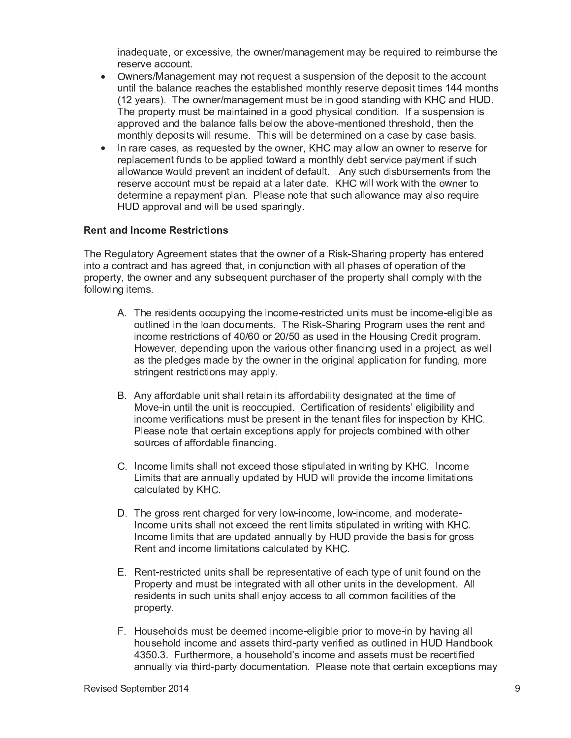inadequate, or excessive, the owner/management may be required to reimburse the reserve account.

- Owners/Management may not request a suspension of the deposit to the account  $\bullet$ until the balance reaches the established monthly reserve deposit times 144 months (12 years). The owner/management must be in good standing with KHC and HUD. The property must be maintained in a good physical condition. If a suspension is approved and the balance falls below the above-mentioned threshold, then the monthly deposits will resume. This will be determined on a case by case basis.
- In rare cases, as requested by the owner, KHC may allow an owner to reserve for  $\bullet$ replacement funds to be applied toward a monthly debt service payment if such allowance would prevent an incident of default. Any such disbursements from the reserve account must be repaid at a later date. KHC will work with the owner to determine a repayment plan. Please note that such allowance may also require HUD approval and will be used sparingly.

# **Rent and Income Restrictions**

The Regulatory Agreement states that the owner of a Risk-Sharing property has entered into a contract and has agreed that, in conjunction with all phases of operation of the property, the owner and any subsequent purchaser of the property shall comply with the following items.

- A. The residents occupying the income-restricted units must be income-eligible as outlined in the loan documents. The Risk-Sharing Program uses the rent and income restrictions of 40/60 or 20/50 as used in the Housing Credit program. However, depending upon the various other financing used in a project, as well as the pledges made by the owner in the original application for funding, more stringent restrictions may apply.
- B. Any affordable unit shall retain its affordability designated at the time of Move-in until the unit is reoccupied. Certification of residents' eligibility and income verifications must be present in the tenant files for inspection by KHC. Please note that certain exceptions apply for projects combined with other sources of affordable financing.
- C. Income limits shall not exceed those stipulated in writing by KHC. Income Limits that are annually updated by HUD will provide the income limitations calculated by KHC.
- D. The gross rent charged for very low-income, low-income, and moderate-Income units shall not exceed the rent limits stipulated in writing with KHC. Income limits that are updated annually by HUD provide the basis for gross Rent and income limitations calculated by KHC.
- E. Rent-restricted units shall be representative of each type of unit found on the Property and must be integrated with all other units in the development. All residents in such units shall enjoy access to all common facilities of the property.
- F. Households must be deemed income-eligible prior to move-in by having all household income and assets third-party verified as outlined in HUD Handbook 4350.3. Furthermore, a household's income and assets must be recertified annually via third-party documentation. Please note that certain exceptions may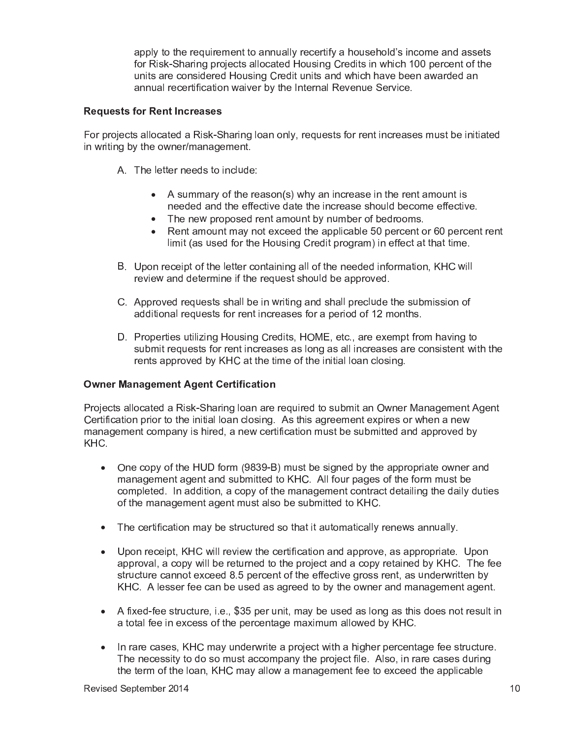apply to the requirement to annually recertify a household's income and assets for Risk-Sharing projects allocated Housing Credits in which 100 percent of the units are considered Housing Credit units and which have been awarded an annual recertification waiver by the Internal Revenue Service.

## **Requests for Rent Increases**

For projects allocated a Risk-Sharing loan only, requests for rent increases must be initiated in writing by the owner/management.

- A. The letter needs to include:
	- A summary of the reason(s) why an increase in the rent amount is needed and the effective date the increase should become effective.
	- The new proposed rent amount by number of bedrooms.
	- Rent amount may not exceed the applicable 50 percent or 60 percent rent limit (as used for the Housing Credit program) in effect at that time.
- B. Upon receipt of the letter containing all of the needed information, KHC will review and determine if the request should be approved.
- C. Approved requests shall be in writing and shall preclude the submission of additional requests for rent increases for a period of 12 months.
- D. Properties utilizing Housing Credits, HOME, etc., are exempt from having to submit requests for rent increases as long as all increases are consistent with the rents approved by KHC at the time of the initial loan closing.

# **Owner Management Agent Certification**

Projects allocated a Risk-Sharing loan are required to submit an Owner Management Agent Certification prior to the initial loan closing. As this agreement expires or when a new management company is hired, a new certification must be submitted and approved by KHC.

- One copy of the HUD form (9839-B) must be signed by the appropriate owner and management agent and submitted to KHC. All four pages of the form must be completed. In addition, a copy of the management contract detailing the daily duties of the management agent must also be submitted to KHC.
- The certification may be structured so that it automatically renews annually.
- Upon receipt, KHC will review the certification and approve, as appropriate. Upon approval, a copy will be returned to the project and a copy retained by KHC. The fee structure cannot exceed 8.5 percent of the effective gross rent, as underwritten by KHC. A lesser fee can be used as agreed to by the owner and management agent.
- A fixed-fee structure, i.e., \$35 per unit, may be used as long as this does not result in a total fee in excess of the percentage maximum allowed by KHC.
- In rare cases, KHC may underwrite a project with a higher percentage fee structure. The necessity to do so must accompany the project file. Also, in rare cases during the term of the loan, KHC may allow a management fee to exceed the applicable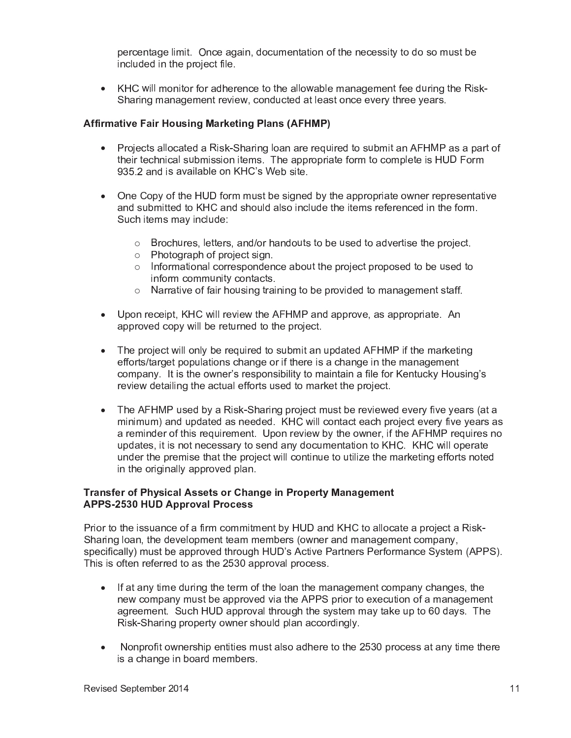percentage limit. Once again, documentation of the necessity to do so must b included in the project file

• KHC will monitor for adherence to the allowable management fee during the Risk Sharing management review, conducted at least once every three years

## Affirmative Fair Housing Marketing Plans (AFHMP)

- Projects allocated a Risk-Sharing loan are reguired to submit an AFHMP as a part o their technical submission items. The appropriate form to complete is HUD For 935.2 and is available on KHC's Web site
- One Copy of the HUD form must be signed by the appropriate owner representa and submitted to KHC and should also include the items referenced in the form Such items may include
	- $\circ$  Brochures, letters, and/or handouts to be used to advertise the project.
	- $\circ$  Photograph of project sign
	- $\circ$  Informational correspondence about the project proposed to be used to inform community contacts
	- o Narra using training to be provided to management staff
- Upon receipt, KHC will review the AFHMP and approve, as appropriate. A approved copy will be returned to the project.
- The project will only be required to submit an updated AFHI the marketin efforts/target popula there is a change in the managemen company. It is the owner's responsibility to maintain a file for Kentucky Housing's review detailing the actual efforts used to market the project.
- The AFHMP used by a Risk-Sharing project must be reviewed ever years (at a minimum) and updated as needed. KHC will contact each project ever years a a reminder of this requirement. Upon review by the o the AFHMP requires not updates, it is not necessary to send any documentation to KHC. KHC will operat under the premise that the project will continue to util the marketing efforts note in the originally approved plan

## Transfer of Physical Assets or Change in Property Management APPS-2530 HUD Approval Process

Prior to the issuance of a firm commitment by HUD and KHC to allocate a project a Risk Sharing loan, the development team members (owner and management company specifically) must be approved through HUD's tners Performance System (APPS) This is often referred to as the 2530 approval process

- If at any time during the term of the loan the management company changes, the new company must be approved via the APPS prior to execution of a managemen agreement. Such HUD approval through the system may take up to 60 days. The Risk-Sharing property owner should plan accordingly
- $\bullet$  Nonprofit ownership entities must also adhere to the 2530 process at any time then is a change in board members.